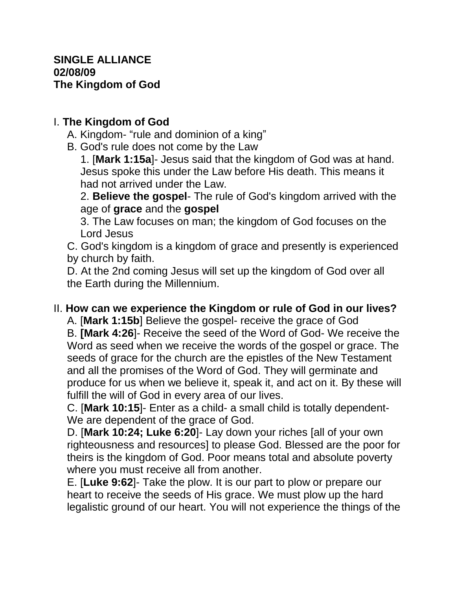## **SINGLE ALLIANCE 02/08/09 The Kingdom of God**

## I. **The Kingdom of God**

- A. Kingdom- "rule and dominion of a king"
- B. God's rule does not come by the Law

1. [**Mark 1:15a**]- Jesus said that the kingdom of God was at hand. Jesus spoke this under the Law before His death. This means it had not arrived under the Law.

2. **Believe the gospel**- The rule of God's kingdom arrived with the age of **grace** and the **gospel**

3. The Law focuses on man; the kingdom of God focuses on the Lord Jesus

C. God's kingdom is a kingdom of grace and presently is experienced by church by faith.

D. At the 2nd coming Jesus will set up the kingdom of God over all the Earth during the Millennium.

## II. **How can we experience the Kingdom or rule of God in our lives?**

A. [**Mark 1:15b**] Believe the gospel- receive the grace of God B. **[Mark 4:26**]- Receive the seed of the Word of God- We receive the Word as seed when we receive the words of the gospel or grace. The seeds of grace for the church are the epistles of the New Testament and all the promises of the Word of God. They will germinate and produce for us when we believe it, speak it, and act on it. By these will fulfill the will of God in every area of our lives.

C. [**Mark 10:15**]- Enter as a child- a small child is totally dependent-We are dependent of the grace of God.

D. [**Mark 10:24; Luke 6:20**]- Lay down your riches [all of your own righteousness and resources] to please God. Blessed are the poor for theirs is the kingdom of God. Poor means total and absolute poverty where you must receive all from another.

E. [**Luke 9:62**]- Take the plow. It is our part to plow or prepare our heart to receive the seeds of His grace. We must plow up the hard legalistic ground of our heart. You will not experience the things of the